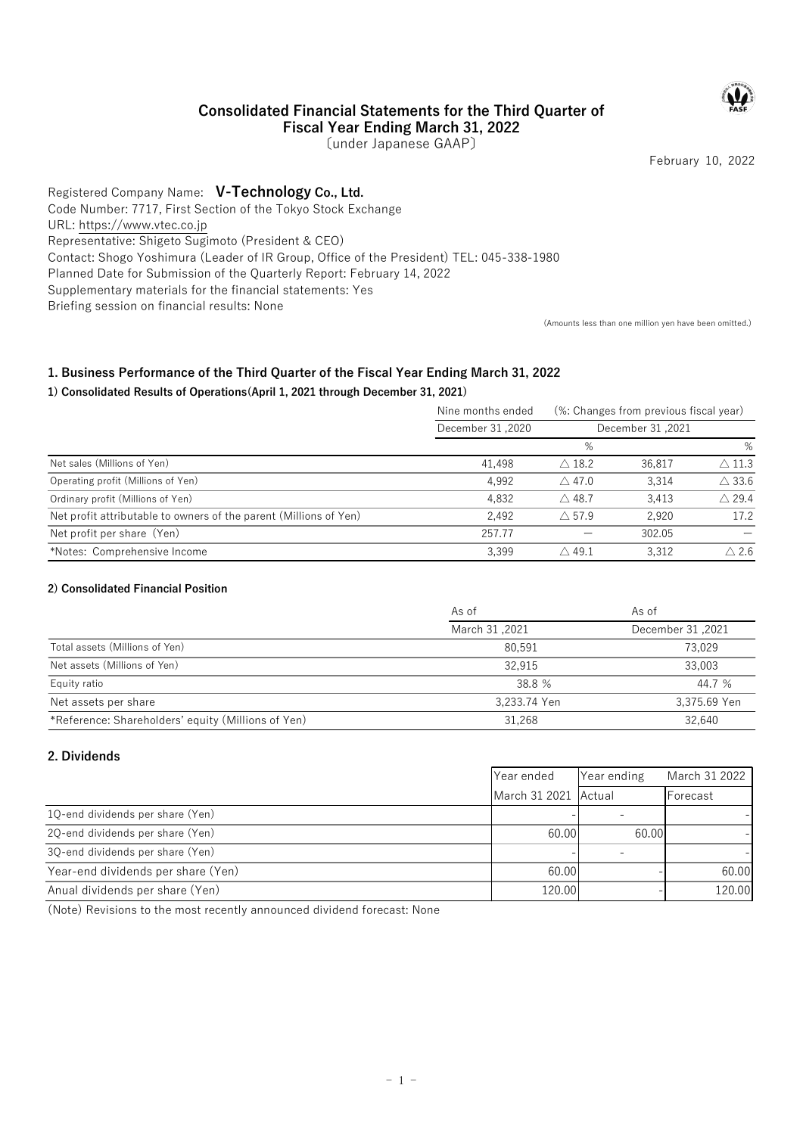# Consolidated Financial Statements for the Third Quarter of

# Registered Company Name: V-Technology Co., Ltd.

# 1. Business Performance of the Third Quarter of the Fiscal Year Ending March 31, 2022

## 1) Consolidated Results of Operations(April 1, 2021 through December 31, 2021)

| oonsonaatoa miandial otatomonts for tho mina quartor or                                                                                                                                                                                                                                                                                                                                                                                                                                                                                                                         | <b>Fiscal Year Ending March 31, 2022</b> |                      |                  |                                                        |                 |
|---------------------------------------------------------------------------------------------------------------------------------------------------------------------------------------------------------------------------------------------------------------------------------------------------------------------------------------------------------------------------------------------------------------------------------------------------------------------------------------------------------------------------------------------------------------------------------|------------------------------------------|----------------------|------------------|--------------------------------------------------------|-----------------|
|                                                                                                                                                                                                                                                                                                                                                                                                                                                                                                                                                                                 | (under Japanese GAAP)                    |                      |                  |                                                        |                 |
|                                                                                                                                                                                                                                                                                                                                                                                                                                                                                                                                                                                 |                                          |                      |                  | February 10, 2022                                      |                 |
| Registered Company Name: V-Technology Co., Ltd.<br>Code Number: 7717, First Section of the Tokyo Stock Exchange<br>URL: https://www.vtec.co.jp<br>Representative: Shigeto Sugimoto (President & CEO)<br>Contact: Shogo Yoshimura (Leader of IR Group, Office of the President) TEL: 045-338-1980<br>Planned Date for Submission of the Quarterly Report: February 14, 2022<br>Supplementary materials for the financial statements: Yes<br>Briefing session on financial results: None<br>1. Business Performance of the Third Quarter of the Fiscal Year Ending March 31, 2022 |                                          |                      |                  | (Amounts less than one million yen have been omitted.) |                 |
| 1) Consolidated Results of Operations (April 1, 2021 through December 31, 2021)                                                                                                                                                                                                                                                                                                                                                                                                                                                                                                 |                                          |                      |                  |                                                        |                 |
|                                                                                                                                                                                                                                                                                                                                                                                                                                                                                                                                                                                 | Nine months ended                        |                      |                  | (%: Changes from previous fiscal year)                 |                 |
|                                                                                                                                                                                                                                                                                                                                                                                                                                                                                                                                                                                 | December 31,2020                         |                      | December 31,2021 |                                                        |                 |
|                                                                                                                                                                                                                                                                                                                                                                                                                                                                                                                                                                                 |                                          | %                    |                  |                                                        | %               |
| Net sales (Millions of Yen)                                                                                                                                                                                                                                                                                                                                                                                                                                                                                                                                                     | 41,498                                   | $\triangle$ 18.2     | 36,817           | $\triangle$ 11.3                                       |                 |
| Operating profit (Millions of Yen)                                                                                                                                                                                                                                                                                                                                                                                                                                                                                                                                              | 4,992                                    | $\triangle$ 47.0     |                  | $\triangle$ 33.6<br>3,314                              |                 |
| Ordinary profit (Millions of Yen)                                                                                                                                                                                                                                                                                                                                                                                                                                                                                                                                               | 4,832                                    | $\triangle$ 48.7     |                  | $\triangle$ 29.4<br>3,413                              |                 |
| Net profit attributable to owners of the parent (Millions of Yen)                                                                                                                                                                                                                                                                                                                                                                                                                                                                                                               | 2,492                                    | $\triangle$ 57.9     |                  | 2,920                                                  | 17.2            |
| Net profit per share (Yen)                                                                                                                                                                                                                                                                                                                                                                                                                                                                                                                                                      | 257.77                                   |                      | 302.05           |                                                        |                 |
| *Notes: Comprehensive Income                                                                                                                                                                                                                                                                                                                                                                                                                                                                                                                                                    | 3,399                                    | $\triangle$ 49.1     |                  | 3,312                                                  | $\triangle$ 2.6 |
| 2) Consolidated Financial Position                                                                                                                                                                                                                                                                                                                                                                                                                                                                                                                                              |                                          |                      |                  |                                                        |                 |
|                                                                                                                                                                                                                                                                                                                                                                                                                                                                                                                                                                                 | As of                                    |                      | As of            |                                                        |                 |
|                                                                                                                                                                                                                                                                                                                                                                                                                                                                                                                                                                                 | March 31,2021                            |                      |                  | December 31,2021                                       |                 |
| Total assets (Millions of Yen)                                                                                                                                                                                                                                                                                                                                                                                                                                                                                                                                                  | 80,591                                   |                      |                  | 73,029                                                 |                 |
| Net assets (Millions of Yen)                                                                                                                                                                                                                                                                                                                                                                                                                                                                                                                                                    | 32,915                                   |                      |                  | 33,003                                                 |                 |
| Equity ratio                                                                                                                                                                                                                                                                                                                                                                                                                                                                                                                                                                    | 38.8 %                                   |                      |                  | 44.7 %                                                 |                 |
| Net assets per share                                                                                                                                                                                                                                                                                                                                                                                                                                                                                                                                                            | 3,233.74 Yen                             |                      |                  | 3,375.69 Yen                                           |                 |
| *Reference: Shareholders' equity (Millions of Yen)                                                                                                                                                                                                                                                                                                                                                                                                                                                                                                                              | 31,268                                   |                      |                  | 32,640                                                 |                 |
|                                                                                                                                                                                                                                                                                                                                                                                                                                                                                                                                                                                 |                                          |                      |                  |                                                        |                 |
| 2. Dividends                                                                                                                                                                                                                                                                                                                                                                                                                                                                                                                                                                    |                                          |                      |                  |                                                        |                 |
|                                                                                                                                                                                                                                                                                                                                                                                                                                                                                                                                                                                 | Year ended                               |                      | Year ending      | March 31 2022                                          |                 |
|                                                                                                                                                                                                                                                                                                                                                                                                                                                                                                                                                                                 |                                          | March 31 2021 Actual |                  | Forecast                                               |                 |
| 1Q-end dividends per share (Yen)                                                                                                                                                                                                                                                                                                                                                                                                                                                                                                                                                |                                          |                      |                  |                                                        |                 |
|                                                                                                                                                                                                                                                                                                                                                                                                                                                                                                                                                                                 |                                          |                      |                  |                                                        |                 |

### 2) Consolidated Financial Position

|                                                                   |               |                      | %                |                                  |  |
|-------------------------------------------------------------------|---------------|----------------------|------------------|----------------------------------|--|
| Net sales (Millions of Yen)                                       | 41.498        | $\triangle$ 18.2     | 36,817           | $\triangle$ 11.3                 |  |
| Operating profit (Millions of Yen)                                | 4,992         |                      | $\triangle$ 47.0 | 3,314<br>$\triangle$ 33.6        |  |
| Ordinary profit (Millions of Yen)                                 | 4,832         | $\triangle$ 48.7     |                  | $\triangle$ 29.4<br>3,413        |  |
| Net profit attributable to owners of the parent (Millions of Yen) | 2,492         | $\triangle$ 57.9     |                  | 17.2<br>2,920                    |  |
| Net profit per share (Yen)                                        | 257.77        |                      | 302.05           |                                  |  |
| *Notes: Comprehensive Income                                      | 3,399         | $\triangle$ 49.1     |                  | $\triangle$ 2.6<br>3,312         |  |
| 2) Consolidated Financial Position                                |               |                      |                  |                                  |  |
|                                                                   | As of         |                      | As of            |                                  |  |
|                                                                   | March 31,2021 |                      |                  | December 31,2021                 |  |
| Total assets (Millions of Yen)                                    | 80,591        |                      |                  | 73,029                           |  |
| Net assets (Millions of Yen)                                      | 32,915        |                      |                  | 33,003<br>44.7 %<br>3,375.69 Yen |  |
| Equity ratio                                                      |               | 38.8 %               |                  |                                  |  |
| Net assets per share                                              |               | 3,233.74 Yen         |                  |                                  |  |
| *Reference: Shareholders' equity (Millions of Yen)                | 31,268        |                      |                  | 32,640                           |  |
| 2. Dividends                                                      |               |                      |                  |                                  |  |
|                                                                   |               | Year ended           | Year ending      | March 31 2022                    |  |
|                                                                   |               | March 31 2021 Actual |                  | Forecast                         |  |
| 1Q-end dividends per share (Yen)                                  |               |                      | $\sim$           |                                  |  |
| 20-end dividends per share (Yen)                                  |               | 60.00                | 60.00            |                                  |  |
| 3Q-end dividends per share (Yen)                                  |               |                      | $\sim$           |                                  |  |
| Year-end dividends per share (Yen)                                |               | 60.00                |                  | 60.00                            |  |
|                                                                   |               |                      |                  |                                  |  |

## 2. Dividends

| Net sales (Millions of Yen)                                             | 41,498                             | $\triangle$ 18.2 | 36,817                             | $\triangle$ 11.3          |
|-------------------------------------------------------------------------|------------------------------------|------------------|------------------------------------|---------------------------|
| Operating profit (Millions of Yen)                                      | 4,992                              | $\triangle$ 47.0 | 3,314                              | $\triangle$ 33.6          |
| Ordinary profit (Millions of Yen)                                       | 4,832                              | $\triangle$ 48.7 | 3,413                              | $\triangle$ 29.4          |
| Net profit attributable to owners of the parent (Millions of Yen)       | 2,492                              | $\triangle$ 57.9 | 2,920                              | 17.2                      |
| Net profit per share (Yen)                                              | 257.77                             |                  | 302.05<br>$\overline{\phantom{m}}$ |                           |
| *Notes: Comprehensive Income                                            | 3,399                              | $\triangle$ 49.1 | 3,312                              | $\triangle$ 2.6           |
| 2) Consolidated Financial Position                                      |                                    |                  |                                    |                           |
|                                                                         | As of                              |                  | As of                              |                           |
|                                                                         | March 31,2021                      |                  |                                    | December 31,2021          |
| Total assets (Millions of Yen)                                          | 80,591                             |                  |                                    | 73,029                    |
| Net assets (Millions of Yen)                                            | 32,915                             |                  |                                    | 33,003                    |
| Equity ratio                                                            | 38.8 %                             |                  |                                    | 44.7 %                    |
| Net assets per share                                                    | 3,233.74 Yen                       |                  |                                    | 3,375.69 Yen              |
| *Reference: Shareholders' equity (Millions of Yen)                      | 31,268                             |                  |                                    | 32,640                    |
| 2. Dividends                                                            | Year ended<br>March 31 2021 Actual |                  | Year ending                        | March 31 2022<br>Forecast |
| 1Q-end dividends per share (Yen)                                        |                                    |                  | $\sim$                             |                           |
| 2Q-end dividends per share (Yen)                                        |                                    | 60.00            | 60.00                              |                           |
| 3Q-end dividends per share (Yen)                                        |                                    |                  | $\sim$                             |                           |
| Year-end dividends per share (Yen)                                      |                                    | 60.00            |                                    | 60.00                     |
| Anual dividends per share (Yen)                                         |                                    | 120.00           |                                    | 120.00                    |
| (Note) Revisions to the most recently announced dividend forecast: None |                                    |                  |                                    |                           |
|                                                                         |                                    |                  |                                    |                           |
|                                                                         |                                    |                  |                                    |                           |
|                                                                         |                                    |                  |                                    |                           |
|                                                                         |                                    |                  |                                    |                           |
|                                                                         |                                    |                  |                                    |                           |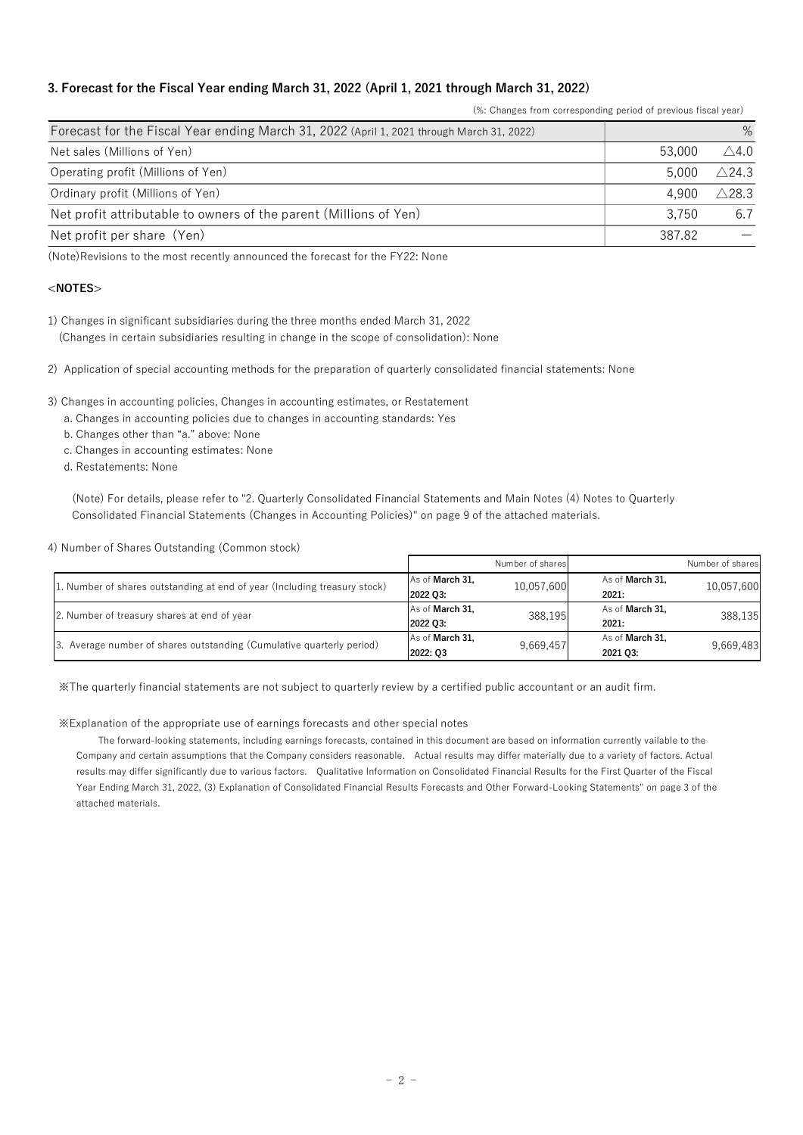## 3. Forecast for the Fiscal Year ending March 31, 2022 (April 1, 2021 through March 31, 2022)

| 3. Forecast for the Fiscal Year ending March 31, 2022 (April 1, 2021 through March 31, 2022)                                                                                     |        |                   |
|----------------------------------------------------------------------------------------------------------------------------------------------------------------------------------|--------|-------------------|
| (%: Changes from corresponding period of previous fiscal year)                                                                                                                   |        |                   |
| Forecast for the Fiscal Year ending March 31, 2022 (April 1, 2021 through March 31, 2022)                                                                                        |        | $\%$              |
| Net sales (Millions of Yen)                                                                                                                                                      | 53,000 | $\triangle$ 4.0   |
|                                                                                                                                                                                  |        |                   |
| Operating profit (Millions of Yen)                                                                                                                                               | 5,000  | $\triangle$ 24.3  |
| Ordinary profit (Millions of Yen)                                                                                                                                                | 4,900  | $\triangle$ 28.3  |
| Net profit attributable to owners of the parent (Millions of Yen)                                                                                                                | 3,750  | 6.7               |
| Net profit per share (Yen)                                                                                                                                                       | 387.82 | $\qquad \qquad -$ |
| (Note) Revisions to the most recently announced the forecast for the FY22: None                                                                                                  |        |                   |
| $<$ NOTES $>$                                                                                                                                                                    |        |                   |
|                                                                                                                                                                                  |        |                   |
| 1) Changes in significant subsidiaries during the three months ended March 31, 2022<br>(Changes in certain subsidiaries resulting in change in the scope of consolidation): None |        |                   |

### <NOTES>

- a. Changes in accounting policies due to changes in accounting standards: Yes
- b. Changes other than "a." above: None
- c. Changes in accounting estimates: None

#### 4) Number of Shares Outstanding (Common stock)

| Net profit per share (Yen)                                                                                                                                                                                                                                                                                                                                                                                                                                                                                                 |                             |                  |                             | 387.82           |
|----------------------------------------------------------------------------------------------------------------------------------------------------------------------------------------------------------------------------------------------------------------------------------------------------------------------------------------------------------------------------------------------------------------------------------------------------------------------------------------------------------------------------|-----------------------------|------------------|-----------------------------|------------------|
| Note) Revisions to the most recently announced the forecast for the FY22: None                                                                                                                                                                                                                                                                                                                                                                                                                                             |                             |                  |                             |                  |
| $<$ NOTES $>$                                                                                                                                                                                                                                                                                                                                                                                                                                                                                                              |                             |                  |                             |                  |
| ) Changes in significant subsidiaries during the three months ended March 31, 2022<br>(Changes in certain subsidiaries resulting in change in the scope of consolidation): None                                                                                                                                                                                                                                                                                                                                            |                             |                  |                             |                  |
| Application of special accounting methods for the preparation of quarterly consolidated financial statements: None                                                                                                                                                                                                                                                                                                                                                                                                         |                             |                  |                             |                  |
| ) Changes in accounting policies, Changes in accounting estimates, or Restatement<br>a. Changes in accounting policies due to changes in accounting standards: Yes<br>b. Changes other than "a." above: None<br>c. Changes in accounting estimates: None<br>d. Restatements: None<br>(Note) For details, please refer to "2. Quarterly Consolidated Financial Statements and Main Notes (4) Notes to Quarterly<br>Consolidated Financial Statements (Changes in Accounting Policies)" on page 9 of the attached materials. |                             |                  |                             |                  |
|                                                                                                                                                                                                                                                                                                                                                                                                                                                                                                                            |                             |                  |                             |                  |
| ) Number of Shares Outstanding (Common stock)                                                                                                                                                                                                                                                                                                                                                                                                                                                                              |                             | Number of shares |                             | Number of shares |
| 1. Number of shares outstanding at end of year (Including treasury stock)                                                                                                                                                                                                                                                                                                                                                                                                                                                  | As of March 31,<br>2022 Q3: | 10,057,600       | As of March 31,<br>2021:    | 10,057,600       |
| 2. Number of treasury shares at end of year                                                                                                                                                                                                                                                                                                                                                                                                                                                                                | As of March 31,<br>2022 Q3: | 388,195          | As of March 31,<br>2021:    | 388,135          |
| 3. Average number of shares outstanding (Cumulative quarterly period)                                                                                                                                                                                                                                                                                                                                                                                                                                                      | As of March 31,<br>2022: Q3 | 9,669,457        | As of March 31.<br>2021 Q3: | 9,669,483        |

※The quarterly financial statements are not subject to quarterly review by a certified public accountant or an audit firm.

#### ※Explanation of the appropriate use of earnings forecasts and other special notes

The forward-looking statements, including earnings forecasts, contained in this document are based on information currently vailable to the Company and certain assumptions that the Company considers reasonable. Actual results may differ materially due to a variety of factors. Actual results may differ significantly due to various factors. Qualitative Information on Consolidated Financial Results for the First Quarter of the Fiscal Year Ending March 31, 2022, (3) Explanation of Consolidated Financial Results Forecasts and Other Forward-Looking Statements" on page 3 of the attached materials.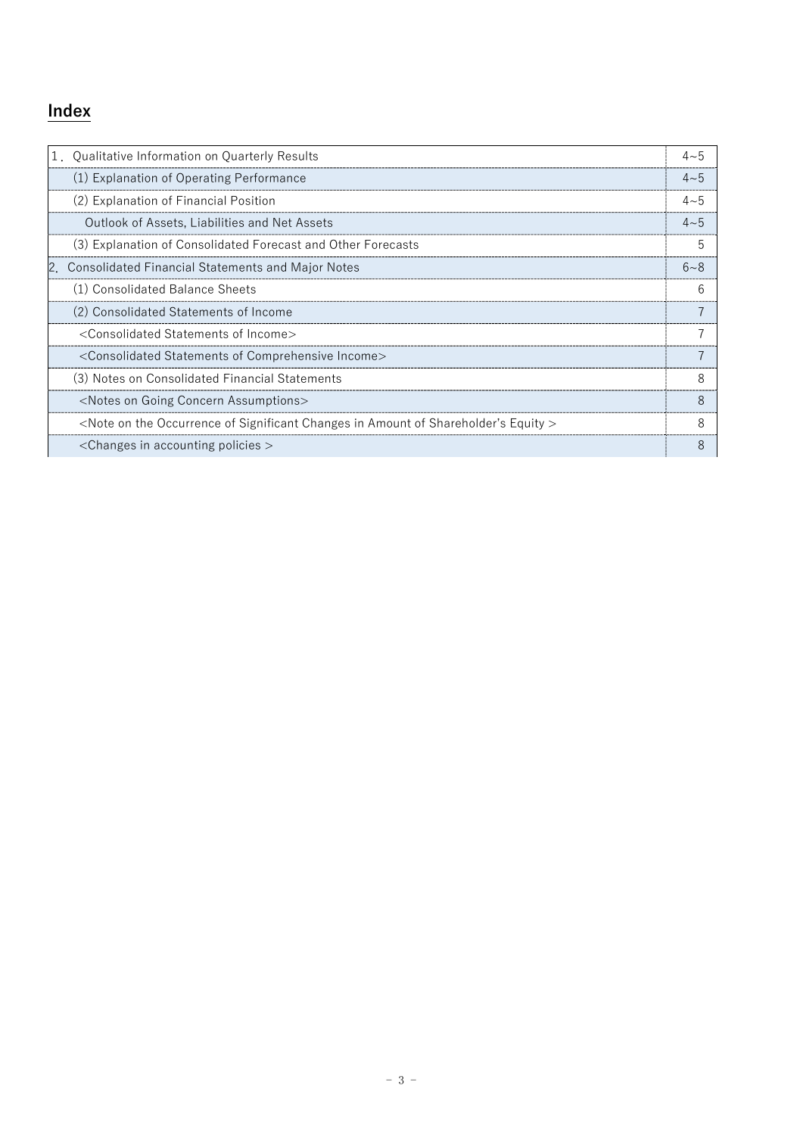# **Index**

| 1. Qualitative Information on Quarterly Results                                               | $4 - 5$ |
|-----------------------------------------------------------------------------------------------|---------|
| (1) Explanation of Operating Performance                                                      | $4 - 5$ |
| (2) Explanation of Financial Position                                                         | $4 - 5$ |
| Outlook of Assets, Liabilities and Net Assets                                                 | $4 - 5$ |
| (3) Explanation of Consolidated Forecast and Other Forecasts                                  | 5       |
| 2. Consolidated Financial Statements and Major Notes                                          | $6 - 8$ |
| (1) Consolidated Balance Sheets                                                               |         |
| (2) Consolidated Statements of Income                                                         |         |
| <consolidated income="" of="" statements=""></consolidated>                                   |         |
| <consolidated comprehensive="" income="" of="" statements=""></consolidated>                  |         |
| (3) Notes on Consolidated Financial Statements                                                |         |
| <notes assumptions="" concern="" going="" on=""></notes>                                      |         |
| $\leq$ Note on the Occurrence of Significant Changes in Amount of Shareholder's Equity $\geq$ |         |
| $\alpha$ -Changes in accounting policies $>$                                                  |         |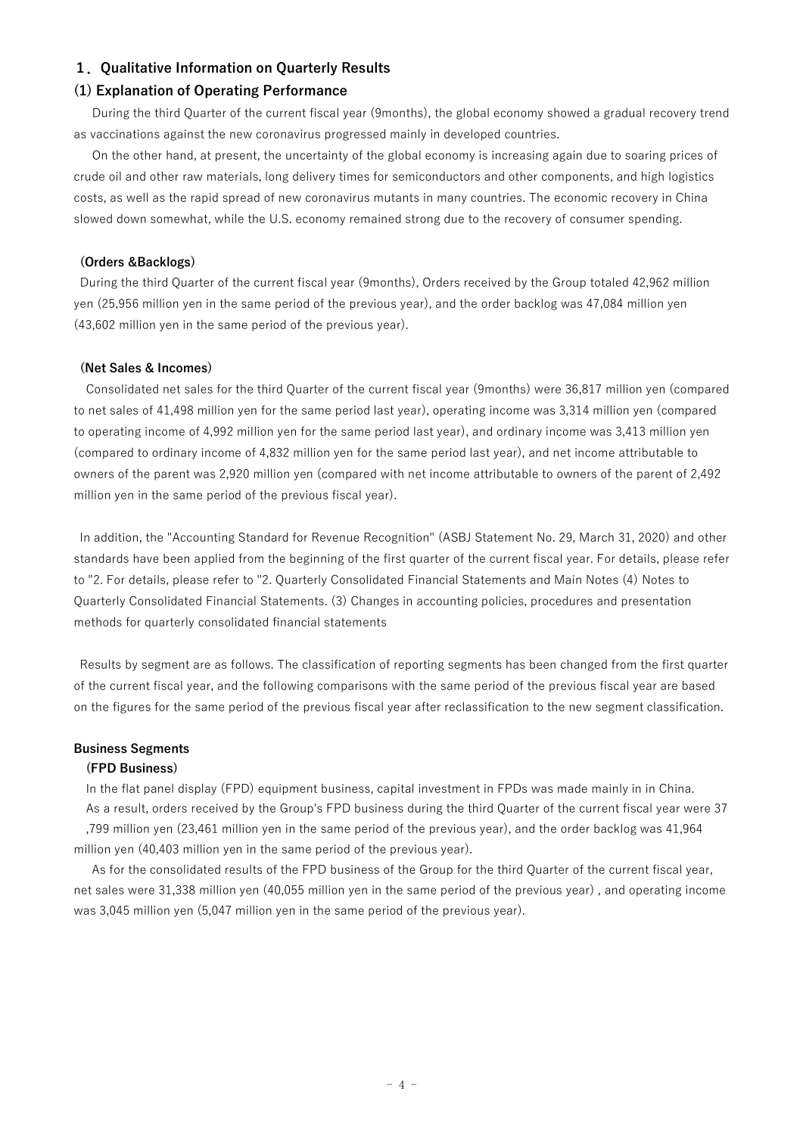## 1. Qualitative Information on Quarterly Results

## (1) Explanation of Operating Performance

During the third Quarter of the current fiscal year (9months), the global economy showed a gradual recovery trend as vaccinations against the new coronavirus progressed mainly in developed countries.

On the other hand, at present, the uncertainty of the global economy is increasing again due to soaring prices of crude oil and other raw materials, long delivery times for semiconductors and other components, and high logistics costs, as well as the rapid spread of new coronavirus mutants in many countries. The economic recovery in China slowed down somewhat, while the U.S. economy remained strong due to the recovery of consumer spending.

#### (Orders &Backlogs)

During the third Quarter of the current fiscal year (9months), Orders received by the Group totaled 42,962 million yen (25,956 million yen in the same period of the previous year), and the order backlog was 47,084 million yen (43,602 million yen in the same period of the previous year).

#### (Net Sales & Incomes)

Consolidated net sales for the third Quarter of the current fiscal year (9months) were 36,817 million yen (compared to net sales of 41,498 million yen for the same period last year), operating income was 3,314 million yen (compared to operating income of 4,992 million yen for the same period last year), and ordinary income was 3,413 million yen (compared to ordinary income of 4,832 million yen for the same period last year), and net income attributable to owners of the parent was 2,920 million yen (compared with net income attributable to owners of the parent of 2,492 million yen in the same period of the previous fiscal year).

 In addition, the "Accounting Standard for Revenue Recognition" (ASBJ Statement No. 29, March 31, 2020) and other standards have been applied from the beginning of the first quarter of the current fiscal year. For details, please refer to "2. For details, please refer to "2. Quarterly Consolidated Financial Statements and Main Notes (4) Notes to Quarterly Consolidated Financial Statements. (3) Changes in accounting policies, procedures and presentation methods for quarterly consolidated financial statements

 Results by segment are as follows. The classification of reporting segments has been changed from the first quarter of the current fiscal year, and the following comparisons with the same period of the previous fiscal year are based on the figures for the same period of the previous fiscal year after reclassification to the new segment classification.

#### Business Segments

#### (FPD Business)

In the flat panel display (FPD) equipment business, capital investment in FPDs was made mainly in in China. As a result, orders received by the Group's FPD business during the third Quarter of the current fiscal year were 37 ,799 million yen (23,461 million yen in the same period of the previous year), and the order backlog was 41,964 million yen (40,403 million yen in the same period of the previous year).

 As for the consolidated results of the FPD business of the Group for the third Quarter of the current fiscal year, net sales were 31,338 million yen (40,055 million yen in the same period of the previous year) , and operating income was 3,045 million yen (5,047 million yen in the same period of the previous year).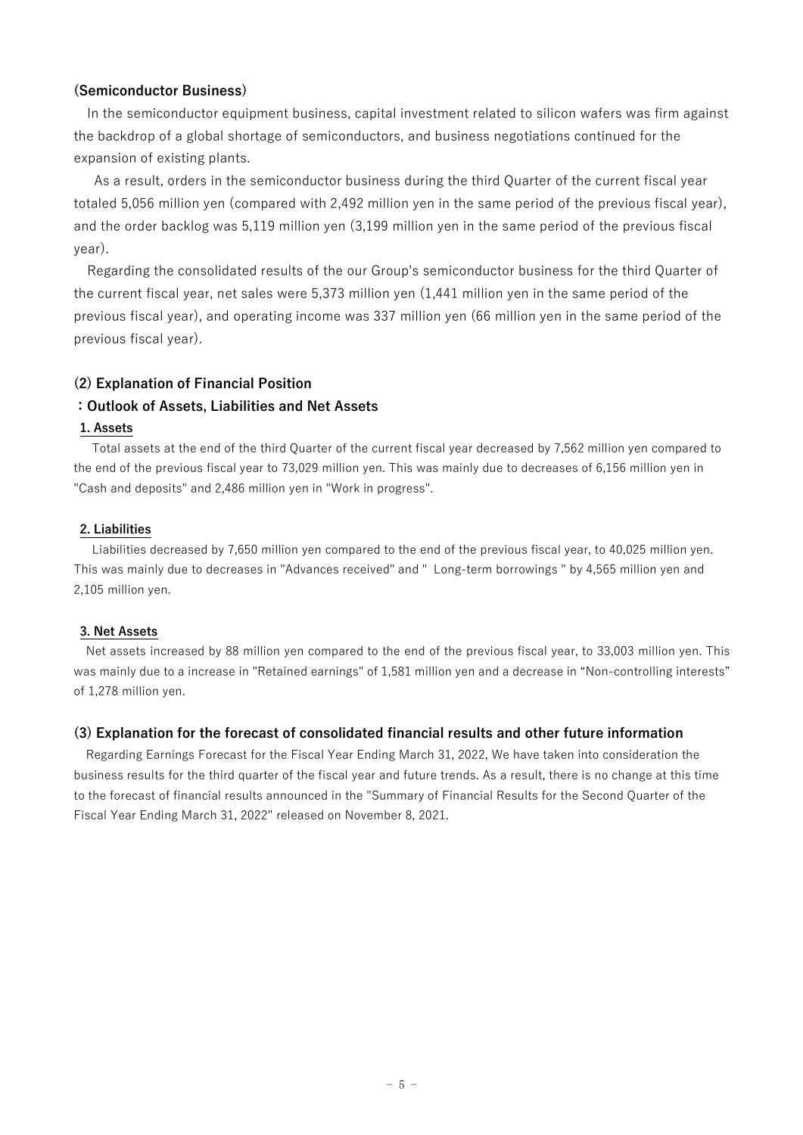# (Semiconductor Business)

In the semiconductor equipment business, capital investment related to silicon wafers was firm against the backdrop of a global shortage of semiconductors, and business negotiations continued for the expansion of existing plants.

 As a result, orders in the semiconductor business during the third Quarter of the current fiscal year totaled 5,056 million yen (compared with 2,492 million yen in the same period of the previous fiscal year), and the order backlog was 5,119 million yen (3,199 million yen in the same period of the previous fiscal year).

Regarding the consolidated results of the our Group's semiconductor business for the third Quarter of the current fiscal year, net sales were 5,373 million yen (1,441 million yen in the same period of the previous fiscal year), and operating income was 337 million yen (66 million yen in the same period of the previous fiscal year).

# (2) Explanation of Financial Position

# :Outlook of Assets, Liabilities and Net Assets

## 1. Assets

Total assets at the end of the third Quarter of the current fiscal year decreased by 7,562 million yen compared to the end of the previous fiscal year to 73,029 million yen. This was mainly due to decreases of 6,156 million yen in "Cash and deposits" and 2,486 million yen in "Work in progress".

## 2. Liabilities

Liabilities decreased by 7,650 million yen compared to the end of the previous fiscal year, to 40,025 million yen. This was mainly due to decreases in "Advances received" and " Long-term borrowings " by 4,565 million yen and 2,105 million yen.

## 3. Net Assets

Net assets increased by 88 million yen compared to the end of the previous fiscal year, to 33,003 million yen. This was mainly due to a increase in "Retained earnings" of 1,581 million yen and a decrease in "Non-controlling interests" of 1,278 million yen.

# (3) Explanation for the forecast of consolidated financial results and other future information

Regarding Earnings Forecast for the Fiscal Year Ending March 31, 2022, We have taken into consideration the business results for the third quarter of the fiscal year and future trends. As a result, there is no change at this time to the forecast of financial results announced in the "Summary of Financial Results for the Second Quarter of the Fiscal Year Ending March 31, 2022" released on November 8, 2021.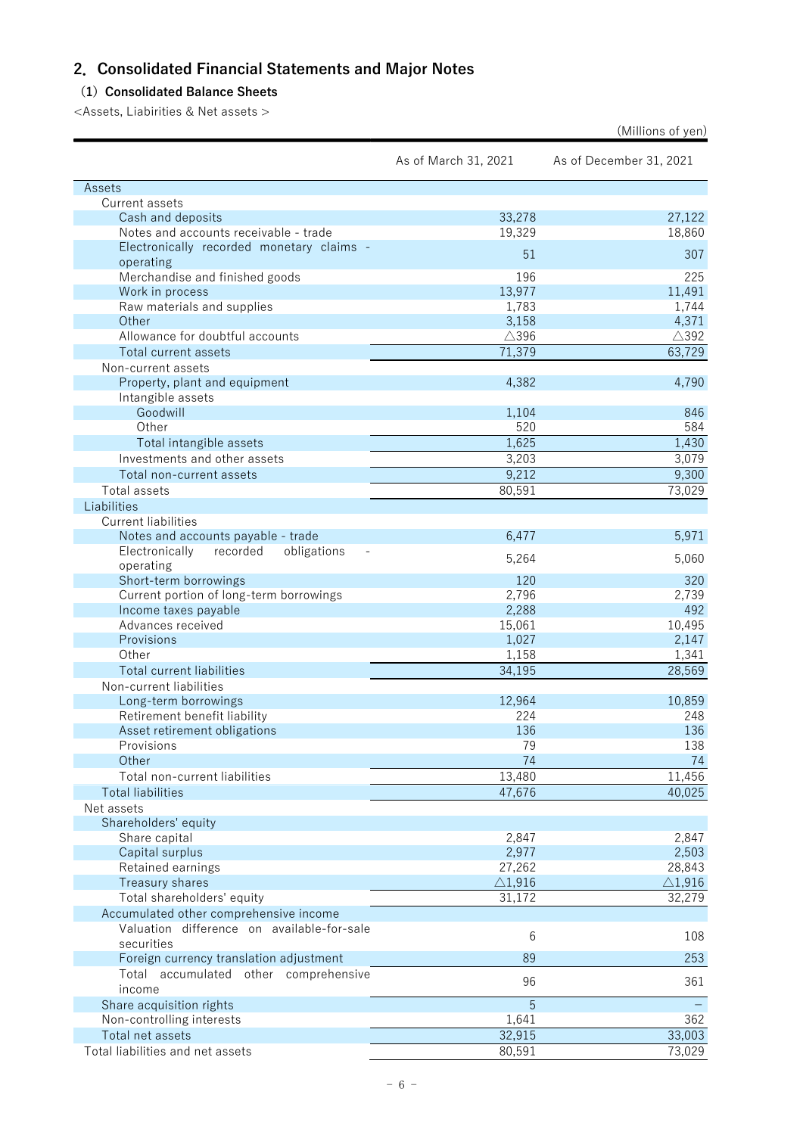# 2.Consolidated Financial Statements and Major Notes

# (1) Consolidated Balance Sheets

<Assets, Liabirities & Net assets >

|                                                 |                      | (Millions of yen)       |
|-------------------------------------------------|----------------------|-------------------------|
|                                                 | As of March 31, 2021 | As of December 31, 2021 |
| Assets                                          |                      |                         |
| Current assets                                  |                      |                         |
| Cash and deposits                               | 33,278               | 27,122                  |
| Notes and accounts receivable - trade           | 19,329               | 18,860                  |
| Electronically recorded monetary claims -       | 51                   | 307                     |
| operating                                       |                      |                         |
| Merchandise and finished goods                  | 196                  | 225                     |
| Work in process                                 | 13,977               | 11,491                  |
| Raw materials and supplies                      | 1,783                | 1,744                   |
| Other                                           | 3,158                | 4,371                   |
| Allowance for doubtful accounts                 | △396                 | $\triangle$ 392         |
| Total current assets                            | 71,379               | 63,729                  |
| Non-current assets                              |                      |                         |
| Property, plant and equipment                   | 4,382                | 4,790                   |
| Intangible assets                               |                      |                         |
| Goodwill                                        | 1,104                | 846                     |
| Other                                           | 520                  | 584                     |
| Total intangible assets                         | 1,625                | 1,430                   |
| Investments and other assets                    | 3,203                | 3,079                   |
| Total non-current assets                        | 9,212                | 9,300                   |
| Total assets                                    | 80,591               | 73,029                  |
| Liabilities                                     |                      |                         |
| <b>Current liabilities</b>                      |                      |                         |
| Notes and accounts payable - trade              | 6,477                | 5,971                   |
| Electronically<br>recorded<br>obligations       | 5,264                | 5,060                   |
| operating                                       |                      |                         |
| Short-term borrowings                           | 120                  | 320                     |
| Current portion of long-term borrowings         | 2,796                | 2,739                   |
| Income taxes payable                            | 2,288                | 492                     |
| Advances received                               | 15,061               | 10,495                  |
| Provisions                                      | 1,027                | 2,147                   |
| Other                                           | 1,158                | 1,341                   |
| <b>Total current liabilities</b>                | 34,195               | 28,569                  |
| Non-current liabilities                         |                      |                         |
| Long-term borrowings                            | 12,964               | 10,859                  |
| Retirement benefit liability                    | 224                  | 248                     |
| Asset retirement obligations                    | 136                  | 136                     |
| Provisions                                      | 79                   | 138                     |
| Other                                           | 74                   | 74                      |
| Total non-current liabilities                   | 13,480               | 11,456                  |
| <b>Total liabilities</b>                        | 47,676               | 40,025                  |
| Net assets                                      |                      |                         |
| Shareholders' equity                            |                      |                         |
| Share capital                                   | 2,847                | 2,847                   |
| Capital surplus                                 | 2,977                | 2,503                   |
| Retained earnings                               | 27,262               | 28,843                  |
| Treasury shares                                 | $\triangle$ 1,916    | $\triangle$ 1,916       |
| Total shareholders' equity                      | 31,172               | 32,279                  |
| Accumulated other comprehensive income          |                      |                         |
| Valuation difference on available-for-sale      | 6                    | 108                     |
| securities                                      |                      |                         |
| Foreign currency translation adjustment         | 89                   | 253                     |
| Total accumulated other comprehensive<br>income | 96                   | 361                     |
| Share acquisition rights                        | 5                    |                         |
| Non-controlling interests                       | 1,641                | 362                     |
| Total net assets                                | 32,915               | 33,003                  |
| Total liabilities and net assets                | 80,591               | 73,029                  |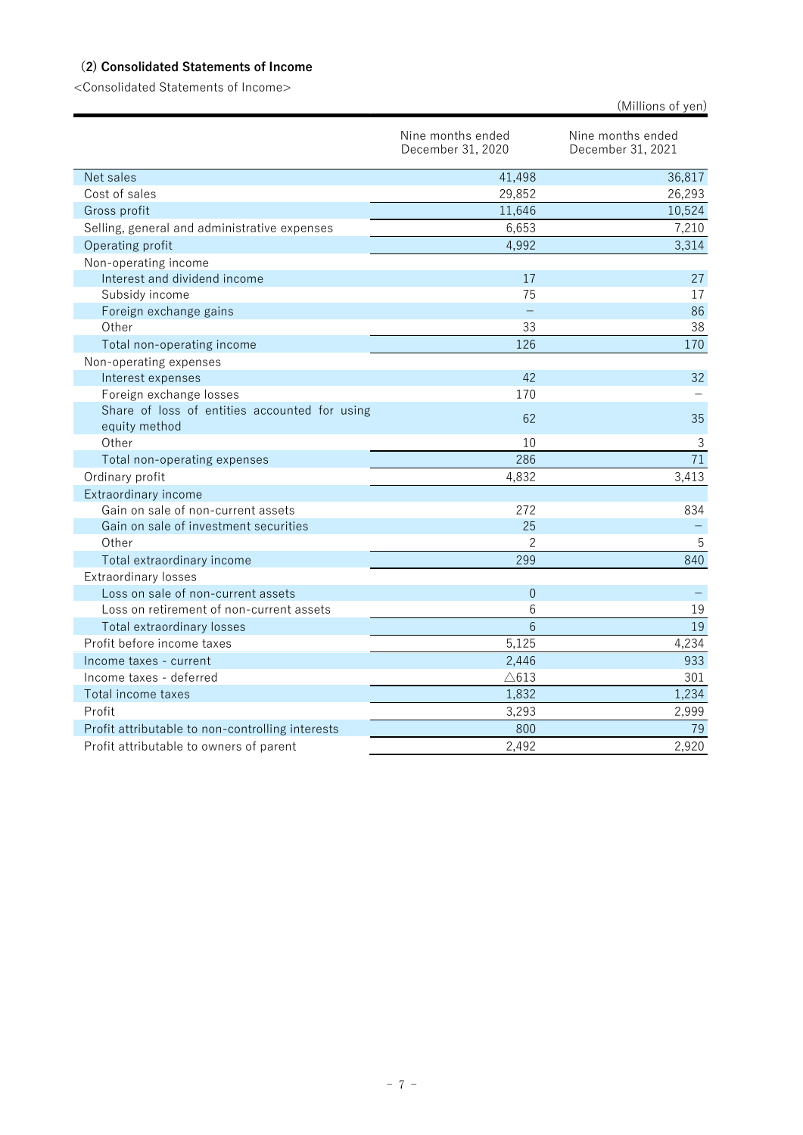# (2) Consolidated Statements of Income

<Consolidated Statements of Income>

(Millions of yen)

|                                                                | Nine months ended<br>December 31, 2020 | Nine months ended<br>December 31, 2021 |
|----------------------------------------------------------------|----------------------------------------|----------------------------------------|
| Net sales                                                      | 41,498                                 | 36,817                                 |
| Cost of sales                                                  | 29,852                                 | 26,293                                 |
| Gross profit                                                   | 11,646                                 | 10,524                                 |
| Selling, general and administrative expenses                   | 6,653                                  | 7,210                                  |
| Operating profit                                               | 4,992                                  | 3,314                                  |
| Non-operating income                                           |                                        |                                        |
| Interest and dividend income                                   | 17                                     | 27                                     |
| Subsidy income                                                 | 75                                     | 17                                     |
| Foreign exchange gains                                         |                                        | 86                                     |
| Other                                                          | 33                                     | 38                                     |
| Total non-operating income                                     | 126                                    | 170                                    |
| Non-operating expenses                                         |                                        |                                        |
| Interest expenses                                              | 42                                     | 32                                     |
| Foreign exchange losses                                        | 170                                    |                                        |
| Share of loss of entities accounted for using<br>equity method | 62                                     | 35                                     |
| Other                                                          | 10                                     | 3                                      |
| Total non-operating expenses                                   | 286                                    | $\overline{71}$                        |
| Ordinary profit                                                | 4,832                                  | 3,413                                  |
| Extraordinary income                                           |                                        |                                        |
| Gain on sale of non-current assets                             | 272                                    | 834                                    |
| Gain on sale of investment securities                          | 25                                     |                                        |
| Other                                                          | $\overline{c}$                         | 5                                      |
| Total extraordinary income                                     | 299                                    | 840                                    |
| <b>Extraordinary losses</b>                                    |                                        |                                        |
| Loss on sale of non-current assets                             | $\Omega$                               |                                        |
| Loss on retirement of non-current assets                       | 6                                      | 19                                     |
| Total extraordinary losses                                     | 6                                      | 19                                     |
| Profit before income taxes                                     | 5,125                                  | 4,234                                  |
| Income taxes - current                                         | 2,446                                  | 933                                    |
| Income taxes - deferred                                        | $\triangle$ 613                        | 301                                    |
| Total income taxes                                             | 1,832                                  | 1,234                                  |
| Profit                                                         | 3,293                                  | 2,999                                  |
| Profit attributable to non-controlling interests               | 800                                    | 79                                     |
| Profit attributable to owners of parent                        | 2.492                                  | 2,920                                  |